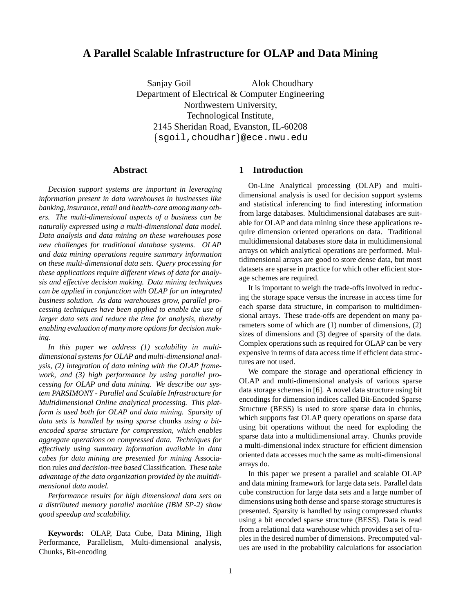# **A Parallel Scalable Infrastructure for OLAP and Data Mining**

Sanjay Goil Alok Choudhary Department of Electrical & Computer Engineering Northwestern University, Technological Institute, 2145 Sheridan Road, Evanston, IL-60208 fsgoil,choudharg@ece.nwu.edu

# **Abstract**

*Decision support systems are important in leveraging information present in data warehouses in businesses like banking, insurance, retail and health-care among many others. The multi-dimensional aspects of a business can be naturally expressed using a multi-dimensional data model. Data analysis and data mining on these warehouses pose new challenges for traditional database systems. OLAP and data mining operations require summary information on these multi-dimensional data sets. Query processing for these applications require different views of data for analysis and effective decision making. Data mining techniques can be applied in conjunction with OLAP for an integrated business solution. As data warehouses grow, parallel processing techniques have been applied to enable the use of larger data sets and reduce the time for analysis, thereby enabling evaluation of many more options for decision making.*

*In this paper we address (1) scalability in multidimensional systems for OLAP and multi-dimensional analysis, (2) integration of data mining with the OLAP framework, and (3) high performance by using parallel processing for OLAP and data mining. We describe our system PARSIMONY - Parallel and Scalable Infrastructure for Multidimensional Online analytical processing. This platform is used both for OLAP and data mining. Sparsity of data sets is handled by using sparse* chunks *using a bitencoded sparse structure for compression, which enables aggregate operations on compressed data. Techniques for effectively using summary information available in data cubes for data mining are presented for mining* Association rules *and decision-tree based* Classification*. These take advantage of the data organization provided by the multidimensional data model.*

*Performance results for high dimensional data sets on a distributed memory parallel machine (IBM SP-2) show good speedup and scalability.*

**Keywords:** OLAP, Data Cube, Data Mining, High Performance, Parallelism, Multi-dimensional analysis, Chunks, Bit-encoding

# **1 Introduction**

On-Line Analytical processing (OLAP) and multidimensional analysis is used for decision support systems and statistical inferencing to find interesting information from large databases. Multidimensional databases are suitable for OLAP and data mining since these applications require dimension oriented operations on data. Traditional multidimensional databases store data in multidimensional arrays on which analytical operations are performed. Multidimensional arrays are good to store dense data, but most datasets are sparse in practice for which other efficient storage schemes are required.

It is important to weigh the trade-offs involved in reducing the storage space versus the increase in access time for each sparse data structure, in comparison to multidimensional arrays. These trade-offs are dependent on many parameters some of which are (1) number of dimensions, (2) sizes of dimensions and (3) degree of sparsity of the data. Complex operations such as required for OLAP can be very expensive in terms of data access time if efficient data structures are not used.

We compare the storage and operational efficiency in OLAP and multi-dimensional analysis of various sparse data storage schemes in [6]. A novel data structure using bit encodings for dimension indices called Bit-Encoded Sparse Structure (BESS) is used to store sparse data in chunks, which supports fast OLAP query operations on sparse data using bit operations without the need for exploding the sparse data into a multidimensional array. Chunks provide a multi-dimensional index structure for efficient dimension oriented data accesses much the same as multi-dimensional arrays do.

In this paper we present a parallel and scalable OLAP and data mining framework for large data sets. Parallel data cube construction for large data sets and a large number of dimensions using both dense and sparse storage structures is presented. Sparsity is handled by using compressed *chunks* using a bit encoded sparse structure (BESS). Data is read from a relational data warehouse which provides a set of tuples in the desired number of dimensions. Precomputed values are used in the probability calculations for association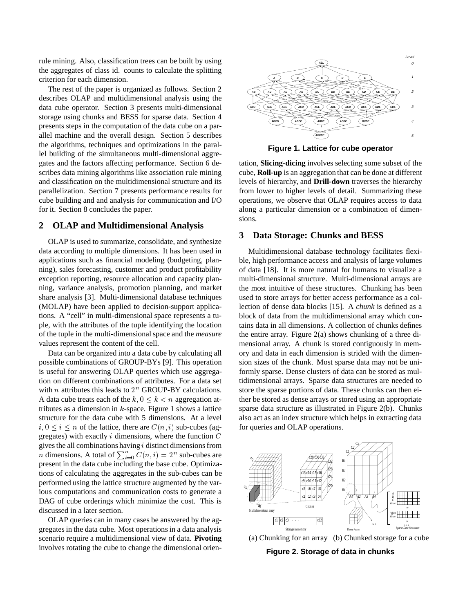rule mining. Also, classification trees can be built by using the aggregates of class id. counts to calculate the splitting criterion for each dimension.

The rest of the paper is organized as follows. Section 2 describes OLAP and multidimensional analysis using the data cube operator. Section 3 presents multi-dimensional storage using chunks and BESS for sparse data. Section 4 presents steps in the computation of the data cube on a parallel machine and the overall design. Section 5 describes the algorithms, techniques and optimizations in the parallel building of the simultaneous multi-dimensional aggregates and the factors affecting performance. Section 6 describes data mining algorithms like association rule mining and classification on the multidimensional structure and its parallelization. Section 7 presents performance results for cube building and and analysis for communication and I/O for it. Section 8 concludes the paper.

# **2 OLAP and Multidimensional Analysis**

OLAP is used to summarize, consolidate, and synthesize data according to multiple dimensions. It has been used in applications such as financial modeling (budgeting, planning), sales forecasting, customer and product profitability exception reporting, resource allocation and capacity planning, variance analysis, promotion planning, and market share analysis [3]. Multi-dimensional database techniques (MOLAP) have been applied to decision-support applications. A "cell" in multi-dimensional space represents a tuple, with the attributes of the tuple identifying the location of the tuple in the multi-dimensional space and the *measure* values represent the content of the cell.

Data can be organized into a data cube by calculating all possible combinations of GROUP-BYs [9]. This operation is useful for answering OLAP queries which use aggregation on different combinations of attributes. For a data set with *n* attributes this leads to  $2^n$  GROUP-BY calculations. A data cube treats each of the  $k, 0 \le k < n$  aggregation attributes as a dimension in  $k$ -space. Figure 1 shows a lattice structure for the data cube with 5 dimensions. At a level  $i, 0 \le i \le n$  of the lattice, there are  $C(n, i)$  sub-cubes (aggregates) with exactly i dimensions, where the function  $C$ gives the all combinations having  $i$  distinct dimensions from *n* dimensions. A total of  $\sum_{i=0}^{n} C(n, i) = 2^n$  sub-cubes are present in the data cube including the base cube. Optimizations of calculating the aggregates in the sub-cubes can be performed using the lattice structure augmented by the various computations and communication costs to generate a DAG of cube orderings which minimize the cost. This is discussed in a later section.

OLAP queries can in many cases be answered by the aggregates in the data cube. Most operations in a data analysis scenario require a multidimensional view of data. **Pivoting** involves rotating the cube to change the dimensional orien-



**Figure 1. Lattice for cube operator**

tation, **Slicing-dicing** involves selecting some subset of the cube, **Roll-up** is an aggregation that can be done at different levels of hierarchy, and **Drill-down** traverses the hierarchy from lower to higher levels of detail. Summarizing these operations, we observe that OLAP requires access to data along a particular dimension or a combination of dimensions.

### **3 Data Storage: Chunks and BESS**

Multidimensional database technology facilitates flexible, high performance access and analysis of large volumes of data [18]. It is more natural for humans to visualize a multi-dimensional structure. Multi-dimensional arrays are the most intuitive of these structures. Chunking has been used to store arrays for better access performance as a collection of dense data blocks [15]. A *chunk* is defined as a block of data from the multidimensional array which contains data in all dimensions. A collection of chunks defines the entire array. Figure 2(a) shows chunking of a three dimensional array. A chunk is stored contiguously in memory and data in each dimension is strided with the dimension sizes of the chunk. Most sparse data may not be uniformly sparse. Dense clusters of data can be stored as multidimensional arrays. Sparse data structures are needed to store the sparse portions of data. These chunks can then either be stored as dense arrays or stored using an appropriate sparse data structure as illustrated in Figure 2(b). Chunks also act as an index structure which helps in extracting data for queries and OLAP operations.



**Figure 2. Storage of data in chunks**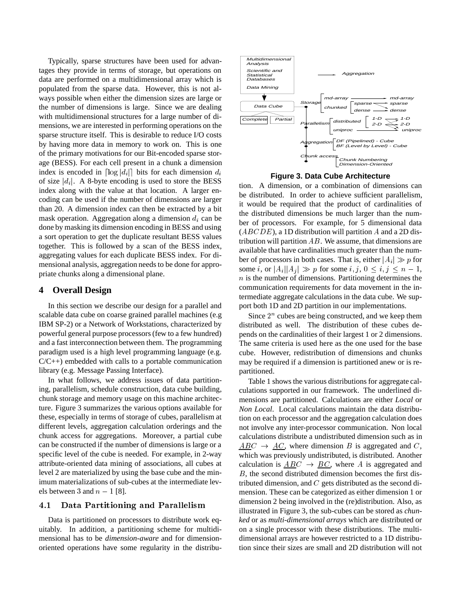Typically, sparse structures have been used for advantages they provide in terms of storage, but operations on data are performed on a multidimensional array which is populated from the sparse data. However, this is not always possible when either the dimension sizes are large or the number of dimensions is large. Since we are dealing with multidimensional structures for a large number of dimensions, we are interested in performing operations on the sparse structure itself. This is desirable to reduce I/O costs by having more data in memory to work on. This is one of the primary motivations for our Bit-encoded sparse storage (BESS). For each cell present in a chunk a dimension index is encoded in  $\lceil \log |d_i| \rceil$  bits for each dimension  $d_i$ of size  $|d_i|$ . A 8-byte encoding is used to store the BESS index along with the value at that location. A larger encoding can be used if the number of dimensions are larger than 20. A dimension index can then be extracted by a bit mask operation. Aggregation along a dimension  $d_i$  can be done by masking its dimension encoding in BESS and using a sort operation to get the duplicate resultant BESS values together. This is followed by a scan of the BESS index, aggregating values for each duplicate BESS index. For dimensional analysis, aggregation needs to be done for appropriate chunks along a dimensional plane.

### **4 Overall Design**

In this section we describe our design for a parallel and scalable data cube on coarse grained parallel machines (e.g IBM SP-2) or a Network of Workstations, characterized by powerful general purpose processors (few to a few hundred) and a fast interconnection between them. The programming paradigm used is a high level programming language (e.g.  $C/C++$ ) embedded with calls to a portable communication library (e.g. Message Passing Interface).

In what follows, we address issues of data partitioning, parallelism, schedule construction, data cube building, chunk storage and memory usage on this machine architecture. Figure 3 summarizes the various options available for these, especially in terms of storage of cubes, parallelism at different levels, aggregation calculation orderings and the chunk access for aggregations. Moreover, a partial cube can be constructed if the number of dimensions is large or a specific level of the cube is needed. For example, in 2-way attribute-oriented data mining of associations, all cubes at level 2 are materialized by using the base cube and the minimum materializations of sub-cubes at the intermediate levels between 3 and  $n - 1$  [8].

#### 4.1 Data Partitioning and Parallelism

Data is partitioned on processors to distribute work equitably. In addition, a partitioning scheme for multidimensional has to be *dimension-aware* and for dimensionoriented operations have some regularity in the distribu-





tion. A dimension, or a combination of dimensions can be distributed. In order to achieve sufficient parallelism, it would be required that the product of cardinalities of the distributed dimensions be much larger than the number of processors. For example, for 5 dimensional data  $(ABCDE)$ , a 1D distribution will partition A and a 2D distribution will partition  $AB$ . We assume, that dimensions are available that have cardinalities much greater than the number of processors in both cases. That is, either  $|A_i| \gg p$  for some i, or  $|A_i||A_j| \gg p$  for some  $i, j, 0 \le i, j \le n - 1$ ,  $n$  is the number of dimensions. Partitioning determines the communication requirements for data movement in the intermediate aggregate calculations in the data cube. We support both 1D and 2D partition in our implementations.

Since  $2^n$  cubes are being constructed, and we keep them distributed as well. The distribution of these cubes depends on the cardinalities of their largest 1 or 2 dimensions. The same criteria is used here as the one used for the base cube. However, redistribution of dimensions and chunks may be required if a dimension is partitioned anew or is repartitioned.

Table 1 shows the various distributions for aggregate calculations supported in our framework. The underlined dimensions are partitioned. Calculations are either *Local* or *Non Local*. Local calculations maintain the data distribution on each processor and the aggregation calculation does not involve any inter-processor communication. Non local calculations distribute a undistributed dimension such as in  $\overline{ABC}$   $\rightarrow$   $\overline{AC}$ , where dimension B is aggregated and C, which was previously undistributed, is distributed. Another calculation is  $ABC \rightarrow BC$ , where A is aggregated and B, the second distributed dimension becomes the first distributed dimension, and  $C$  gets distributed as the second dimension. These can be categorized as either dimension 1 or dimension 2 being involved in the (re)distribution. Also, as illustrated in Figure 3, the sub-cubes can be stored as *chunked* or as *multi-dimensional arrays* which are distributed or on a single processor with these distributions. The multidimensional arrays are however restricted to a 1D distribution since their sizes are small and 2D distribution will not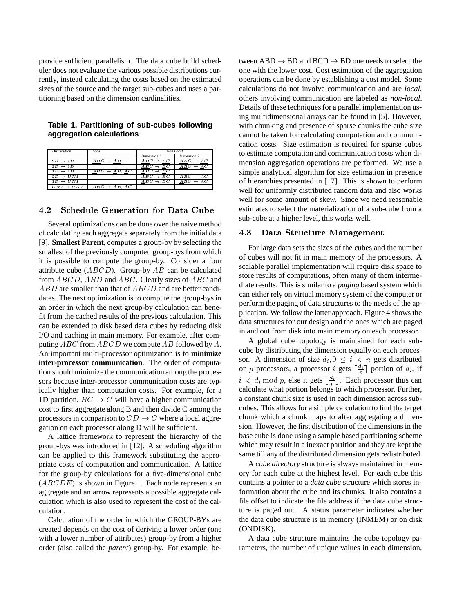provide sufficient parallelism. The data cube build scheduler does not evaluate the various possible distributions currently, instead calculating the costs based on the estimated sizes of the source and the target sub-cubes and uses a partitioning based on the dimension cardinalities.

| Table 1. Partitioning of sub-cubes following |  |  |
|----------------------------------------------|--|--|
| aggregation calculations                     |  |  |

| <b>Distribution</b>   | Local                         | Non Local            |                                                |  |
|-----------------------|-------------------------------|----------------------|------------------------------------------------|--|
|                       |                               | Dimension 1          | Dimension 2                                    |  |
| $2D \rightarrow 2D$   | $AB C \rightarrow AB$         | $ABC \rightarrow BC$ | $AB C \rightarrow AC$                          |  |
| $2D \rightarrow 1D$   |                               | $ABC \rightarrow BC$ | $AB C \rightarrow AC$                          |  |
| $1D \rightarrow 1D$   | $AB C \rightarrow AB$ $AC$    | $ABC \rightarrow BC$ |                                                |  |
| $2D \rightarrow UNI$  |                               | $ABC \rightarrow BC$ | $AB C \rightarrow AC$                          |  |
| $1D \rightarrow UNI$  |                               | $ABC \rightarrow BC$ | $\overline{AB}\ \overline{C}\ \rightarrow\ AC$ |  |
| $UNI \rightarrow UNI$ | $ABC \rightarrow AB \cdot AC$ |                      |                                                |  |

#### 4.2 Schedule Generation for Data Cube

Several optimizations can be done over the naive method of calculating each aggregate separately from the initial data [9]. **Smallest Parent**, computes a group-by by selecting the smallest of the previously computed group-bys from which it is possible to compute the group-by. Consider a four attribute cube  $(ABCD)$ . Group-by  $AB$  can be calculated from ABCD, ABD and ABC. Clearly sizes of ABC and ABD are smaller than that of ABCD and are better candidates. The next optimization is to compute the group-bys in an order in which the next group-by calculation can benefit from the cached results of the previous calculation. This can be extended to disk based data cubes by reducing disk I/O and caching in main memory. For example, after computing  $ABC$  from  $ABCD$  we compute AB followed by A. An important multi-processor optimization is to **minimize inter-processor communication**. The order of computation should minimize the communication among the processors because inter-processor communication costs are typically higher than computation costs. For example, for a 1D partition,  $BC \rightarrow C$  will have a higher communication cost to first aggregate along B and then divide C among the processors in comparison to  $CD \rightarrow C$  where a local aggregation on each processor along D will be sufficient.

A lattice framework to represent the hierarchy of the group-bys was introduced in [12]. A scheduling algorithm can be applied to this framework substituting the appropriate costs of computation and communication. A lattice for the group-by calculations for a five-dimensional cube  $(ABCDE)$  is shown in Figure 1. Each node represents an aggregate and an arrow represents a possible aggregate calculation which is also used to represent the cost of the calculation.

Calculation of the order in which the GROUP-BYs are created depends on the cost of deriving a lower order (one with a lower number of attributes) group-by from a higher order (also called the *parent*) group-by. For example, between  $ABD \rightarrow BD$  and  $BCD \rightarrow BD$  one needs to select the one with the lower cost. Cost estimation of the aggregation operations can be done by establishing a cost model. Some calculations do not involve communication and are *local*, others involving communication are labeled as *non-local*. Details of these techniques for a parallel implementation using multidimensional arrays can be found in [5]. However, with chunking and presence of sparse chunks the cube size cannot be taken for calculating computation and communication costs. Size estimation is required for sparse cubes to estimate computation and communication costs when dimension aggregation operations are performed. We use a simple analytical algorithm for size estimation in presence of hierarchies presented in [17]. This is shown to perform well for uniformly distributed random data and also works well for some amount of skew. Since we need reasonable estimates to select the materialization of a sub-cube from a sub-cube at a higher level, this works well.

#### 4.3 Data Structure Management

For large data sets the sizes of the cubes and the number of cubes will not fit in main memory of the processors. A scalable parallel implementation will require disk space to store results of computations, often many of them intermediate results. This is similar to a *paging* based system which can either rely on virtual memory system of the computer or perform the paging of data structures to the needs of the application. We follow the latter approach. Figure 4 shows the data structures for our design and the ones which are paged in and out from disk into main memory on each processor.

A global cube topology is maintained for each subcube by distributing the dimension equally on each processor. A dimension of size  $d_i, 0 \leq i < n$  gets distributed on p processors, a processor i gets  $\lceil \frac{d_i}{p} \rceil$  portion of  $d_i$ , if  $i < d_i \mod p$ , else it gets  $\lfloor \frac{d_i}{p} \rfloor$ . Each processor thus can calculate what portion belongs to which processor. Further, a constant chunk size is used in each dimension across subcubes. This allows for a simple calculation to find the target chunk which a chunk maps to after aggregating a dimension. However, the first distribution of the dimensions in the base cube is done using a sample based partitioning scheme which may result in a inexact partition and they are kept the same till any of the distributed dimension gets redistributed.

A *cube directory* structure is always maintained in memory for each cube at the highest level. For each cube this contains a pointer to a *data cube* structure which stores information about the cube and its chunks. It also contains a file offset to indicate the file address if the data cube structure is paged out. A status parameter indicates whether the data cube structure is in memory (INMEM) or on disk (ONDISK).

A data cube structure maintains the cube topology parameters, the number of unique values in each dimension,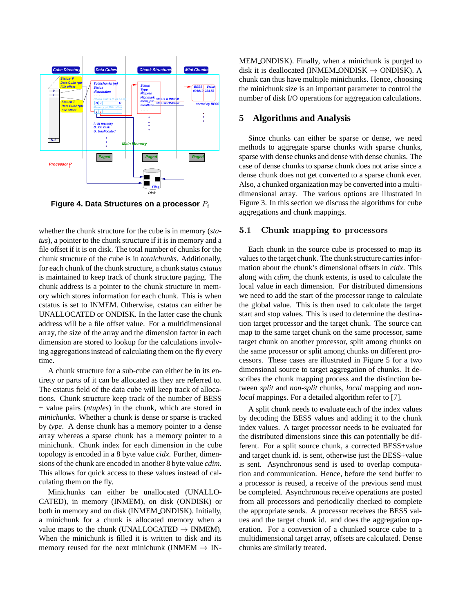

**Figure 4. Data Structures on a processor** Pi

whether the chunk structure for the cube is in memory (*status*), a pointer to the chunk structure if it is in memory and a file offset if it is on disk. The total number of chunks for the chunk structure of the cube is in *totalchunks*. Additionally, for each chunk of the chunk structure, a chunk status *cstatus* is maintained to keep track of chunk structure paging. The chunk address is a pointer to the chunk structure in memory which stores information for each chunk. This is when cstatus is set to INMEM. Otherwise, cstatus can either be UNALLOCATED or ONDISK. In the latter case the chunk address will be a file offset value. For a multidimensional array, the size of the array and the dimension factor in each dimension are stored to lookup for the calculations involving aggregations instead of calculating them on the fly every time.

A chunk structure for a sub-cube can either be in its entirety or parts of it can be allocated as they are referred to. The cstatus field of the data cube will keep track of allocations. Chunk structure keep track of the number of BESS + value pairs (*ntuples*) in the chunk, which are stored in *minichunks*. Whether a chunk is dense or sparse is tracked by *type*. A dense chunk has a memory pointer to a dense array whereas a sparse chunk has a memory pointer to a minichunk. Chunk index for each dimension in the cube topology is encoded in a 8 byte value *cidx*. Further, dimensions of the chunk are encoded in another 8 byte value *cdim*. This allows for quick access to these values instead of calculating them on the fly.

Minichunks can either be unallocated (UNALLO-CATED), in memory (INMEM), on disk (ONDISK) or both in memory and on disk (INMEM ONDISK). Initially, a minichunk for a chunk is allocated memory when a value maps to the chunk (UNALLOCATED  $\rightarrow$  INMEM). When the minichunk is filled it is written to disk and its memory reused for the next minichunk (INMEM  $\rightarrow$  IN-

MEM ONDISK). Finally, when a minichunk is purged to disk it is deallocated (INMEM\_ONDISK  $\rightarrow$  ONDISK). A chunk can thus have multiple minichunks. Hence, choosing the minichunk size is an important parameter to control the number of disk I/O operations for aggregation calculations.

### **5 Algorithms and Analysis**

Since chunks can either be sparse or dense, we need methods to aggregate sparse chunks with sparse chunks, sparse with dense chunks and dense with dense chunks. The case of dense chunks to sparse chunk does not arise since a dense chunk does not get converted to a sparse chunk ever. Also, a chunked organization may be converted into a multidimensional array. The various options are illustrated in Figure 3. In this section we discuss the algorithms for cube aggregations and chunk mappings.

#### 5.1 Chunk mapping to processors

Each chunk in the source cube is processed to map its values to the target chunk. The chunk structure carries information about the chunk's dimensional offsets in *cidx*. This along with *cdim*, the chunk extents, is used to calculate the local value in each dimension. For distributed dimensions we need to add the start of the processor range to calculate the global value. This is then used to calculate the target start and stop values. This is used to determine the destination target processor and the target chunk. The source can map to the same target chunk on the same processor, same target chunk on another processor, split among chunks on the same processor or split among chunks on different processors. These cases are illustrated in Figure 5 for a two dimensional source to target aggregation of chunks. It describes the chunk mapping process and the distinction between *split* and *non-split* chunks, *local* mapping and *nonlocal* mappings. For a detailed algorithm refer to [7].

A split chunk needs to evaluate each of the index values by decoding the BESS values and adding it to the chunk index values. A target processor needs to be evaluated for the distributed dimensions since this can potentially be different. For a split source chunk, a corrected BESS+value and target chunk id. is sent, otherwise just the BESS+value is sent. Asynchronous send is used to overlap computation and communication. Hence, before the send buffer to a processor is reused, a receive of the previous send must be completed. Asynchronous receive operations are posted from all processors and periodically checked to complete the appropriate sends. A processor receives the BESS values and the target chunk id. and does the aggregation operation. For a conversion of a chunked source cube to a multidimensional target array, offsets are calculated. Dense chunks are similarly treated.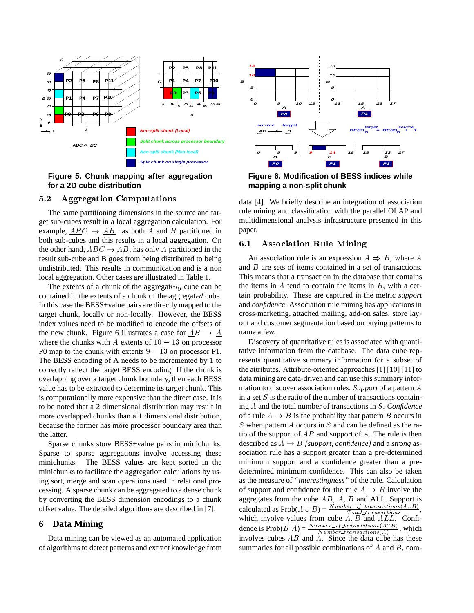

# **Figure 5. Chunk mapping after aggregation for a 2D cube distribution**

#### 5.2 Aggregation Computations

The same partitioning dimensions in the source and target sub-cubes result in a local aggregation calculation. For example,  $\overline{ABC}$   $\rightarrow$   $\overline{AB}$  has both A and B partitioned in both sub-cubes and this results in a local aggregation. On the other hand,  $\angle ABC \rightarrow \angle AB$ , has only A partitioned in the result sub-cube and B goes from being distributed to being undistributed. This results in communication and is a non local aggregation. Other cases are illustrated in Table 1.

The extents of a chunk of the aggregating cube can be contained in the extents of a chunk of the aggregated cube. In this case the BESS+value pairs are directly mapped to the target chunk, locally or non-locally. However, the BESS index values need to be modified to encode the offsets of the new chunk. Figure 6 illustrates a case for  $AB \rightarrow A$ where the chunks with A extents of  $10 - 13$  on processor P0 map to the chunk with extents  $9 - 13$  on processor P1. The BESS encoding of A needs to be incremented by 1 to correctly reflect the target BESS encoding. If the chunk is overlapping over a target chunk boundary, then each BESS value has to be extracted to determine its target chunk. This is computationally more expensive than the direct case. It is to be noted that a 2 dimensional distribution may result in more overlapped chunks than a 1 dimensional distribution, because the former has more processor boundary area than the latter.

Sparse chunks store BESS+value pairs in minichunks. Sparse to sparse aggregations involve accessing these minichunks. The BESS values are kept sorted in the minichunks to facilitate the aggregation calculations by using sort, merge and scan operations used in relational processing. A sparse chunk can be aggregated to a dense chunk by converting the BESS dimension encodings to a chunk offset value. The detailed algorithms are described in [7].

## **6 Data Mining**

Data mining can be viewed as an automated application of algorithms to detect patterns and extract knowledge from



**Figure 6. Modification of BESS indices while mapping a non-split chunk**

data [4]. We briefly describe an integration of association rule mining and classification with the parallel OLAP and multidimensional analysis infrastructure presented in this paper.

#### 6.1 Association Rule Mining

An association rule is an expression  $A \Rightarrow B$ , where A and B are sets of items contained in a set of transactions. This means that a transaction in the database that contains the items in  $A$  tend to contain the items in  $B$ , with a certain probability. These are captured in the metric *support* and *confidence*. Association rule mining has applications in cross-marketing, attached mailing, add-on sales, store layout and customer segmentation based on buying patterns to name a few.

Discovery of quantitative rules is associated with quantitative information from the database. The data cube represents quantitative summary information for a subset of the attributes. Attribute-oriented approaches [1] [10] [11] to data mining are data-driven and can use this summary information to discover association rules. *Support* of a pattern A in a set  $S$  is the ratio of the number of transactions containing A and the total number of transactions in S. *Confidence* of a rule  $A \rightarrow B$  is the probability that pattern B occurs in  $S$  when pattern  $A$  occurs in  $S$  and can be defined as the ratio of the support of  $AB$  and support of  $A$ . The rule is then described as  $A \rightarrow B$  *[support, confidence]* and a *strong* association rule has a support greater than a pre-determined minimum support and a confidence greater than a predetermined minimum confidence. This can also be taken as the measure of *"interestingness"* of the rule. Calculation of support and confidence for the rule  $A \rightarrow B$  involve the aggregates from the cube  $AB$ ,  $A$ ,  $B$  and ALL. Support is calculated as  $Prob(A \cup B) = \frac{Number\_of\_transactions(A \cup B)}{Total\_transactions},$ which involve values from cube  $A, B$  and  $ALL$ . Confidence is  $\text{Prob}(B|A) = \frac{Number\_of\_transactions(A||B)|}{Number\_transactions(A)},$  which , which involves cubes  $AB$  and  $A$ . Since the data cube has these summaries for all possible combinations of  $A$  and  $B$ , com-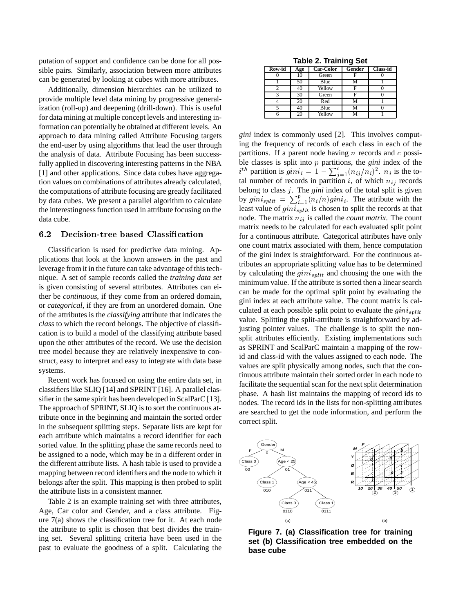putation of support and confidence can be done for all possible pairs. Similarly, association between more attributes can be generated by looking at cubes with more attributes.

Additionally, dimension hierarchies can be utilized to provide multiple level data mining by progressive generalization (roll-up) and deepening (drill-down). This is useful for data mining at multiple concept levels and interesting information can potentially be obtained at different levels. An approach to data mining called Attribute Focusing targets the end-user by using algorithms that lead the user through the analysis of data. Attribute Focusing has been successfully applied in discovering interesting patterns in the NBA [1] and other applications. Since data cubes have aggregation values on combinations of attributes already calculated, the computations of attribute focusing are greatly facilitated by data cubes. We present a parallel algorithm to calculate the interestingness function used in attribute focusing on the data cube.

## 6.2 Decision-tree based Classication

Classification is used for predictive data mining. Applications that look at the known answers in the past and leverage from it in the future can take advantage of this technique. A set of sample records called the *training data set* is given consisting of several attributes. Attributes can either be *continuous*, if they come from an ordered domain, or *categorical*, if they are from an unordered domain. One of the attributes is the *classifying* attribute that indicates the *class* to which the record belongs. The objective of classification is to build a model of the classifying attribute based upon the other attributes of the record. We use the decision tree model because they are relatively inexpensive to construct, easy to interpret and easy to integrate with data base systems.

Recent work has focused on using the entire data set, in classifiers like SLIQ [14] and SPRINT [16]. A parallel classifier in the same spirit has been developed in ScalParC [13]. The approach of SPRINT, SLIQ is to sort the continuous attribute once in the beginning and maintain the sorted order in the subsequent splitting steps. Separate lists are kept for each attribute which maintains a record identifier for each sorted value. In the splitting phase the same records need to be assigned to a node, which may be in a different order in the different attribute lists. A hash table is used to provide a mapping between record identifiers and the node to which it belongs after the split. This mapping is then probed to split the attribute lists in a consistent manner.

Table 2 is an example training set with three attributes, Age, Car color and Gender, and a class attribute. Figure 7(a) shows the classification tree for it. At each node the attribute to split is chosen that best divides the training set. Several splitting criteria have been used in the past to evaluate the goodness of a split. Calculating the

**Table 2. Training Set**

| --     |                 |           |        |                 |
|--------|-----------------|-----------|--------|-----------------|
| Row-id | Age             | Car-Color | Gender | <b>Class-id</b> |
|        | 10              | Green     |        |                 |
|        | 50              | Blue      | м      |                 |
|        | 40              | Yellow    |        |                 |
|        | 30              | Green     |        |                 |
|        | $2\overline{0}$ | Red       |        |                 |
|        | 40              | Blue      |        |                 |
|        | 20              | Yellow    |        |                 |

*gini* index is commonly used [2]. This involves computing the frequency of records of each class in each of the partitions. If a parent node having  $n$  records and  $c$  possible classes is split into p partitions, the *gini* index of the  $i^{th}$  partition is  $gini_i = 1 - \sum_{i=1}^{c} (n_{ij}/n_i)^2$ .  $n_i$  is the total number of records in partition i, of which  $n_{ij}$  records belong to class j. The *gini* index of the total split is given by  $gini_{split} = \sum_{i=1}^{p} (n_i/n)gini_i$ . The attribute with the least value of  $gini_{split}$  is chosen to split the records at that node. The matrix  $n_{ij}$  is called the *count matrix*. The count matrix needs to be calculated for each evaluated split point for a continuous attribute. Categorical attributes have only one count matrix associated with them, hence computation of the gini index is straightforward. For the continuous attributes an appropriate splitting value has to be determined by calculating the  $gini<sub>split</sub>$  and choosing the one with the minimum value. If the attribute is sorted then a linear search can be made for the optimal split point by evaluating the gini index at each attribute value. The count matrix is calculated at each possible split point to evaluate the  $gini<sub>split</sub>$ value. Splitting the split-attribute is straightforward by adjusting pointer values. The challenge is to split the nonsplit attributes efficiently. Existing implementations such as SPRINT and ScalParC maintain a mapping of the rowid and class-id with the values assigned to each node. The values are split physically among nodes, such that the continuous attribute maintain their sorted order in each node to facilitate the sequential scan for the next split determination phase. A hash list maintains the mapping of record ids to nodes. The record ids in the lists for non-splitting attributes are searched to get the node information, and perform the correct split.



**Figure 7. (a) Classification tree for training set (b) Classification tree embedded on the base cube**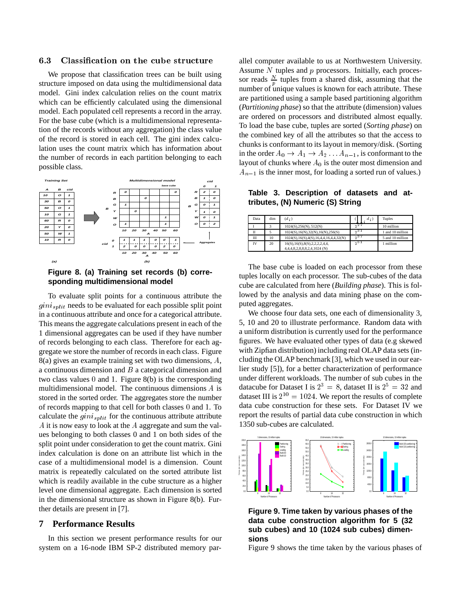#### 6.3 Classication on the cube structure

We propose that classification trees can be built using structure imposed on data using the multidimensional data model. Gini index calculation relies on the count matrix which can be efficiently calculated using the dimensional model. Each populated cell represents a record in the array. For the base cube (which is a multidimensional representation of the records without any aggregation) the class value of the record is stored in each cell. The gini index calculation uses the count matrix which has information about the number of records in each partition belonging to each possible class.





To evaluate split points for a continuous attribute the  $gini<sub>split</sub>$  needs to be evaluated for each possible split point in a continuous attribute and once for a categorical attribute. This means the aggregate calculations present in each of the 1 dimensional aggregates can be used if they have number of records belonging to each class. Therefore for each aggregate we store the number of records in each class. Figure  $8(a)$  gives an example training set with two dimensions,  $A$ , a continuous dimension and  $B$  a categorical dimension and two class values <sup>0</sup> and <sup>1</sup>. Figure 8(b) is the corresponding multidimensional model. The continuous dimensions A is stored in the sorted order. The aggregates store the number of records mapping to that cell for both classes <sup>0</sup> and <sup>1</sup>. To calculate the  $gini<sub>split</sub>$  for the continuous attribute attribute A it is now easy to look at the A aggregate and sum the values belonging to both classes 0 and 1 on both sides of the split point under consideration to get the count matrix. Gini index calculation is done on an attribute list which in the case of a multidimensional model is a dimension. Count matrix is repeatedly calculated on the sorted attribute list which is readily available in the cube structure as a higher level one dimensional aggregate. Each dimension is sorted in the dimensional structure as shown in Figure 8(b). Further details are present in [7].

## **7 Performance Results**

In this section we present performance results for our system on a 16-node IBM SP-2 distributed memory parallel computer available to us at Northwestern University. Assume  $N$  tuples and  $p$  processors. Initially, each processor reads  $\frac{N}{n}$  tuples from a shared disk, assuming that the number of unique values is known for each attribute. These are partitioned using a sample based partitioning algorithm (*Partitioning phase*) so that the attribute (dimension) values are ordered on processors and distributed almost equally. To load the base cube, tuples are sorted (*Sorting phase*) on the combined key of all the attributes so that the access to chunks is conformant to its layout in memory/disk. (Sorting in the order  $A_0 \rightarrow A_1 \rightarrow A_2 \ldots A_{n-1}$ , is conformant to the layout of chunks where  $A_0$  is the outer most dimension and  $A_{n-1}$  is the inner most, for loading a sorted run of values.)

#### **Table 3. Description of datasets and attributes, (N) Numeric (S) String**

| Data | dim | $(d_i)$                                                               | $d_i$    | Tuples           |
|------|-----|-----------------------------------------------------------------------|----------|------------------|
|      |     | 1024(S), 256(N), 512(N)                                               | 27       | 10 million       |
| П    |     | 1024(S), 16(N), 32(N), 16(N), 256(S)                                  | 231      | 1 and 10 million |
| Ш    | 10  | $1024(S), 16(S), 4(S), 16, 4, 4, 16, 4, 4, 32(N)$                     | 237      | 5 and 10 million |
| IV   | 20  | 16(S), 16(S), 8(S), 2, 2, 2, 2, 4, 4,<br>4.4.4.8.2.8.8.8.2.4.1024 (N) | $2^{51}$ | 1 million        |

The base cube is loaded on each processor from these tuples locally on each processor. The sub-cubes of the data cube are calculated from here (*Building phase*). This is followed by the analysis and data mining phase on the computed aggregates.

We choose four data sets, one each of dimensionality 3, 5, 10 and 20 to illustrate performance. Random data with a uniform distribution is currently used for the performance figures. We have evaluated other types of data (e.g skewed with Zipfian distribution) including real OLAP data sets (including the OLAP benchmark [3], which we used in our earlier study [5]), for a better characterization of performance under different workloads. The number of sub cubes in the datacube for Dataset I is  $2^3 = 8$ , dataset II is  $2^5 = 32$  and dataset III is  $2^{10} = 1024$ . We report the results of complete data cube construction for these sets. For Dataset IV we report the results of partial data cube construction in which 1350 sub-cubes are calculated.



**Figure 9. Time taken by various phases of the data cube construction algorithm for 5 (32 sub cubes) and 10 (1024 sub cubes) dimensions**

Figure 9 shows the time taken by the various phases of